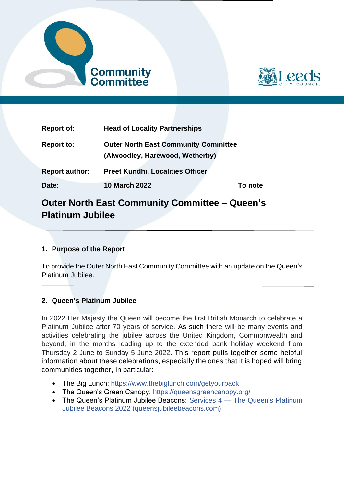



| <b>Report of:</b>     | <b>Head of Locality Partnerships</b>                                           |         |
|-----------------------|--------------------------------------------------------------------------------|---------|
| <b>Report to:</b>     | <b>Outer North East Community Committee</b><br>(Alwoodley, Harewood, Wetherby) |         |
| <b>Report author:</b> | <b>Preet Kundhi, Localities Officer</b>                                        |         |
| Date:                 | <b>10 March 2022</b>                                                           | To note |

# **Outer North East Community Committee – Queen's Platinum Jubilee**

## **1. Purpose of the Report**

To provide the Outer North East Community Committee with an update on the Queen's Platinum Jubilee.

#### **2. Queen's Platinum Jubilee**

In 2022 Her Majesty the Queen will become the first British Monarch to celebrate a Platinum Jubilee after 70 years of service. As such there will be many events and activities celebrating the jubilee across the United Kingdom, Commonwealth and beyond, in the months leading up to the extended bank holiday weekend from Thursday 2 June to Sunday 5 June 2022. This report pulls together some helpful information about these celebrations, especially the ones that it is hoped will bring communities together, in particular:

- The Big Lunch:<https://www.thebiglunch.com/getyourpack>
- The Queen's Green Canopy:<https://queensgreencanopy.org/>
- [The Queen's Platinum](https://www.queensjubileebeacons.com/guide) Jubilee Beacons: Services 4 The Queen's Platinum [Jubilee Beacons 2022 \(queensjubileebeacons.com\)](https://www.queensjubileebeacons.com/guide)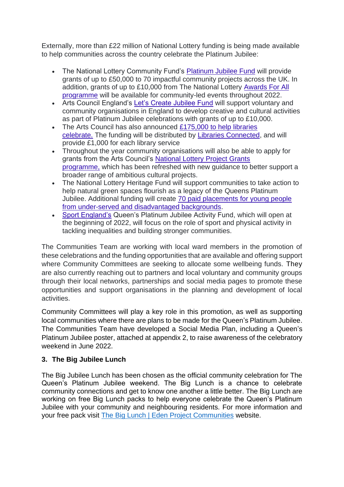Externally, more than £22 million of National Lottery funding is being made available to help communities across the country celebrate the Platinum Jubilee:

- The National Lottery Community Fund's [Platinum Jubilee Fund](https://www.tnlcommunityfund.org.uk/funding/programmes/the-platinum-jubilee-fund) will provide grants of up to £50,000 to 70 impactful community projects across the UK. In addition, grants of up to £10,000 from The National Lottery [Awards For All](https://www.tnlcommunityfund.org.uk/funding/programmes/national-lottery-awards-for-all-england)  [programme](https://www.tnlcommunityfund.org.uk/funding/programmes/national-lottery-awards-for-all-england) will be available for community-led events throughout 2022.
- Arts Council England's [Let's Create Jubilee Fund](https://www.artscouncil.org.uk/our-open-funds/let%E2%80%99s-create-jubilee-fund) will support voluntary and community organisations in England to develop creative and cultural activities as part of Platinum Jubilee celebrations with grants of up to £10,000.
- The Arts Council has also announced £175,000 to help libraries [celebrate.](https://www.artscouncil.org.uk/our-open-funds/let%E2%80%99s-create-jubilee-fund) The funding will be distributed by [Libraries Connected,](https://www.librariesconnected.org.uk/) and will provide £1,000 for each library service
- Throughout the year community organisations will also be able to apply for grants from the Arts Council's [National Lottery Project Grants](https://www.artscouncil.org.uk/projectgrants)  [programme,](https://www.artscouncil.org.uk/projectgrants) which has been refreshed with new guidance to better support a broader range of ambitious cultural projects.
- The National Lottery Heritage Fund will support communities to take action to help natural green spaces flourish as a legacy of the Queens Platinum Jubilee. Additional funding will create [70 paid placements for young people](https://www.heritagefund.org.uk/news/ps7million-legacy-nature-and-communities-queens-jubilee)  [from under-served and disadvantaged backgrounds.](https://www.heritagefund.org.uk/news/ps7million-legacy-nature-and-communities-queens-jubilee)
- [Sport England's](https://www.sportengland.org/) Queen's Platinum Jubilee Activity Fund, which will open at the beginning of 2022, will focus on the role of sport and physical activity in tackling inequalities and building stronger communities.

The Communities Team are working with local ward members in the promotion of these celebrations and the funding opportunities that are available and offering support where Community Committees are seeking to allocate some wellbeing funds. They are also currently reaching out to partners and local voluntary and community groups through their local networks, partnerships and social media pages to promote these opportunities and support organisations in the planning and development of local activities.

Community Committees will play a key role in this promotion, as well as supporting local communities where there are plans to be made for the Queen's Platinum Jubilee. The Communities Team have developed a Social Media Plan, including a Queen's Platinum Jubilee poster, attached at appendix 2, to raise awareness of the celebratory weekend in June 2022.

#### **3. The Big Jubilee Lunch**

The Big Jubilee Lunch has been chosen as the official community celebration for The Queen's Platinum Jubilee weekend. The Big Lunch is a chance to celebrate community connections and get to know one another a little better. The Big Lunch are working on free Big Lunch packs to help everyone celebrate the Queen's Platinum Jubilee with your community and neighbouring residents. For more information and your free pack visit [The Big Lunch | Eden Project Communities](https://www.edenprojectcommunities.com/the-big-lunch) website.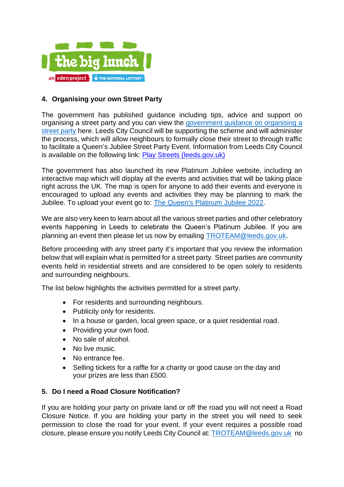

#### **4. Organising your own Street Party**

The government has published guidance including tips, advice and support on organising a street party and you can view the [government guidance on organising a](https://www.gov.uk/government/publications/your-guide-to-organising-a-street-party/your-guide-to-organising-a-street-party)  [street party](https://www.gov.uk/government/publications/your-guide-to-organising-a-street-party/your-guide-to-organising-a-street-party) here. Leeds City Council will be supporting the scheme and will administer the process, which will allow neighbours to formally close their street to through traffic to facilitate a Queen's Jubilee Street Party Event. Information from Leeds City Council is available on the following link: [Play Streets \(leeds.gov.uk\)](https://www.leeds.gov.uk/parking-roads-and-travel/licences-and-permits/play-streets)

The government has also launched its new Platinum Jubilee website, including an interactive map which will display all the events and activities that will be taking place right across the UK. The map is open for anyone to add their events and everyone is encouraged to upload any events and activities they may be planning to mark the Jubilee. To upload your event go to: [The Queen's Platinum Jubilee 2022.](https://platinumjubilee.gov.uk/)

We are also very keen to learn about all the various street parties and other celebratory events happening in Leeds to celebrate the Queen's Platinum Jubilee. If you are planning an event then please let us now by emailing [TROTEAM@leeds.gov.uk.](mailto:TROTEAM@leeds.gov.uk)

Before proceeding with any street party it's important that you review the information below that will explain what is permitted for a street party. Street parties are community events held in residential streets and are considered to be open solely to residents and surrounding neighbours.

The list below highlights the activities permitted for a street party.

- For residents and surrounding neighbours.
- Publicity only for residents.
- In a house or garden, local green space, or a quiet residential road.
- Providing your own food.
- No sale of alcohol.
- No live music.
- No entrance fee.
- Selling tickets for a raffle for a charity or good cause on the day and your prizes are less than £500.

#### **5. Do I need a Road Closure Notification?**

If you are holding your party on private land or off the road you will not need a Road Closure Notice. If you are holding your party in the street you will need to seek permission to close the road for your event. If your event requires a possible road closure, please ensure you notify Leeds City Council at: [TROTEAM@leeds.gov.uk](mailto:TROTEAM@leeds.gov.uk) no